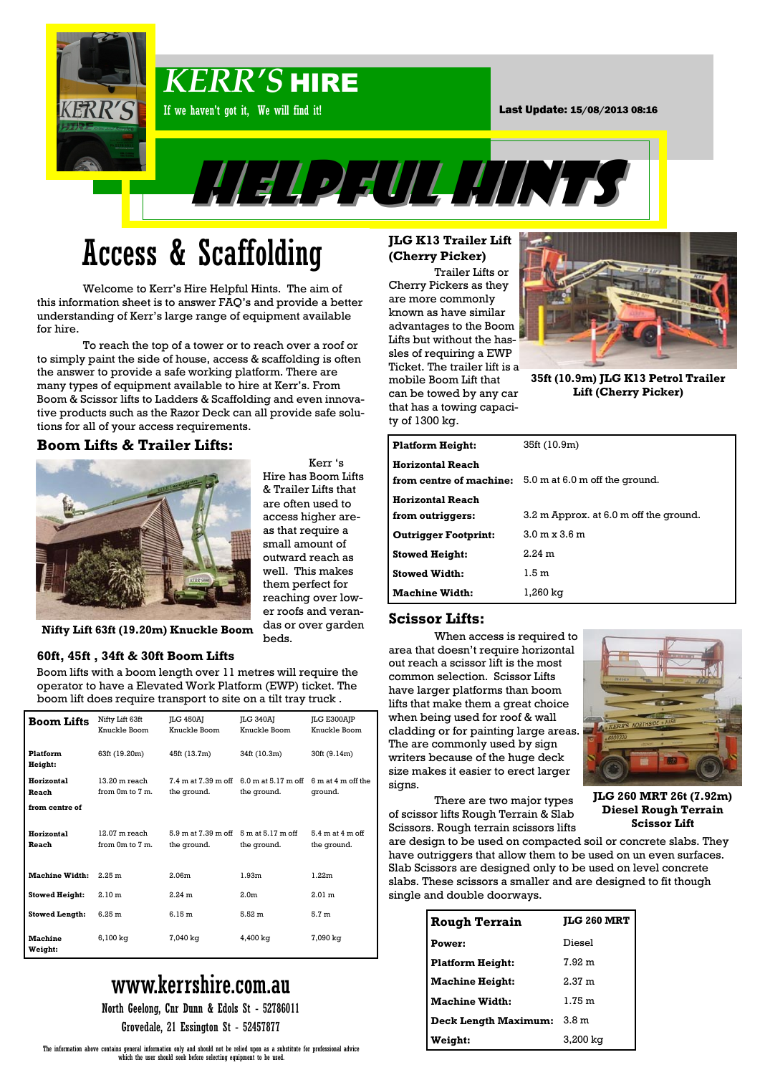

# Access & Scaffolding

Welcome to Kerr's Hire Helpful Hints. The aim of this information sheet is to answer FAQ's and provide a better understanding of Kerr's large range of equipment available for hire.

To reach the top of a tower or to reach over a roof or to simply paint the side of house, access & scaffolding is often the answer to provide a safe working platform. There are many types of equipment available to hire at Kerr's. From Boom & Scissor lifts to Ladders & Scaffolding and even innovative products such as the Razor Deck can all provide safe solutions for all of your access requirements.

### **Boom Lifts & Trailer Lifts:**



Kerr 's Hire has Boom Lifts & Trailer Lifts that are often used to access higher areas that require a small amount of outward reach as well. This makes them perfect for reaching over lower roofs and verandas or over garden beds.

**Nifty Lift 63ft (19.20m) Knuckle Boom**

#### **60ft, 45ft , 34ft & 30ft Boom Lifts**

Boom lifts with a boom length over 11 metres will require the operator to have a Elevated Work Platform (EWP) ticket. The boom lift does require transport to site on a tilt tray truck .

| <b>Boom Lifts</b>                     | Nifty Lift 63ft<br>Knuckle Boom        | <b>ILG 450AJ</b><br>Knuckle Boom   | [LG 340A]<br>Knuckle Boom          | <b>JLG E300AJP</b><br>Knuckle Boom  |
|---------------------------------------|----------------------------------------|------------------------------------|------------------------------------|-------------------------------------|
| <b>Platform</b><br>Height:            | 63ft (19.20m)                          | 45ft (13.7m)                       | 34ft (10.3m)                       | 30ft (9.14m)                        |
| Horizontal<br>Reach<br>from centre of | $13.20$ m reach<br>from $0m$ to $7m$ . | 7.4 m at 7.39 m off<br>the ground. | 6.0 m at 5.17 m off<br>the ground. | 6 m at 4 m off the<br>ground.       |
|                                       |                                        |                                    |                                    |                                     |
| Horizontal<br>Reach                   | $12.07$ m reach<br>from 0m to 7 m.     | 5.9 m at 7.39 m off<br>the ground. | 5 m at 5.17 m off<br>the ground.   | $5.4$ m at $4$ m off<br>the ground. |
| <b>Machine Width:</b>                 | 2.25 m                                 | 2.06 <sub>m</sub>                  | 1.93 <sub>m</sub>                  | 1.22m                               |
| <b>Stowed Height:</b>                 | 2.10 m                                 | 2.24 m                             | 2.0 <sub>m</sub>                   | 2.01 <sub>m</sub>                   |
| <b>Stowed Length:</b>                 | 6.25 m                                 | 6.15 <sub>m</sub>                  | 5.52 <sub>m</sub>                  | 5.7 <sub>m</sub>                    |
| <b>Machine</b><br>Weight:             | 6,100 kg                               | 7,040 kg                           | 4,400 kg                           | 7,090 kg                            |

## www.kerrshire.com.au

North Geelong, Cnr Dunn & Edols St - 52786011

Grovedale, 21 Essington St - 52457877

### **JLG K13 Trailer Lift (Cherry Picker)**

Trailer Lifts or Cherry Pickers as they are more commonly known as have similar advantages to the Boom Lifts but without the hassles of requiring a EWP Ticket. The trailer lift is a mobile Boom Lift that can be towed by any car that has a towing capacity of 1300 kg.



**35ft (10.9m) JLG K13 Petrol Trailer Lift (Cherry Picker)** 

| <b>Platform Height:</b>     | 35ft (10.9m)                                                  |
|-----------------------------|---------------------------------------------------------------|
| <b>Horizontal Reach</b>     |                                                               |
|                             | <b>from centre of machine:</b> 5.0 m at 6.0 m off the ground. |
| <b>Horizontal Reach</b>     |                                                               |
| from outriggers:            | 3.2 m Approx. at 6.0 m off the ground.                        |
| <b>Outrigger Footprint:</b> | $3.0 \text{ m} \times 3.6 \text{ m}$                          |
| <b>Stowed Height:</b>       | $2.24 \text{ m}$                                              |
| <b>Stowed Width:</b>        | 1.5 <sub>m</sub>                                              |
| <b>Machine Width:</b>       | 1.260 ka                                                      |

#### **Scissor Lifts:**

When access is required to area that doesn't require horizontal out reach a scissor lift is the most common selection. Scissor Lifts have larger platforms than boom lifts that make them a great choice when being used for roof & wall cladding or for painting large areas. The are commonly used by sign writers because of the huge deck size makes it easier to erect larger signs.

There are two major types of scissor lifts Rough Terrain & Slab Scissors. Rough terrain scissors lifts



**JLG 260 MRT 26t (7.92m) Diesel Rough Terrain Scissor Lift**

are design to be used on compacted soil or concrete slabs. They have outriggers that allow them to be used on un even surfaces. Slab Scissors are designed only to be used on level concrete slabs. These scissors a smaller and are designed to fit though single and double doorways.

| <b>Rough Terrain</b>    | <b>ILG 260 MRT</b> |  |
|-------------------------|--------------------|--|
| Power:                  | Diesel             |  |
| <b>Platform Height:</b> | 7.92 m             |  |
| <b>Machine Height:</b>  | 2.37 m             |  |
| <b>Machine Width:</b>   | 1.75 m             |  |
| Deck Length Maximum:    | 3.8 <sub>m</sub>   |  |
| Weight:                 | 3,200 kg           |  |